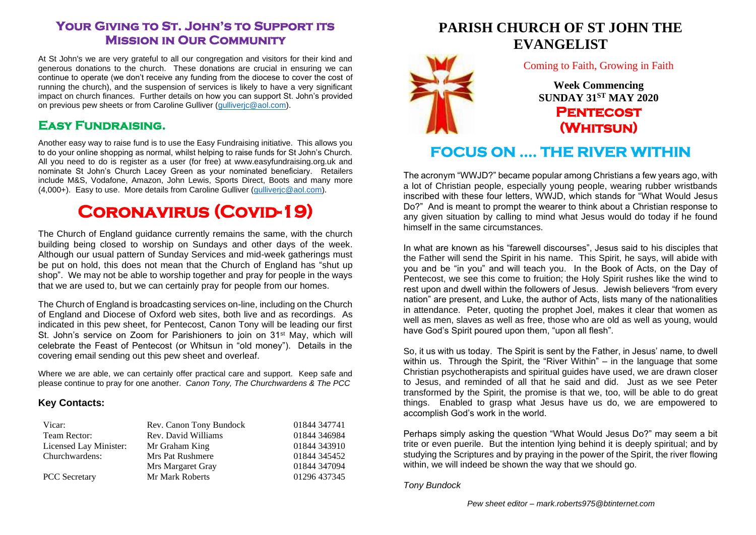### **Your Giving to St. John's to Support its Mission in Our Community**

At St John's we are very grateful to all our congregation and visitors for their kind and generous donations to the church. These donations are crucial in ensuring we can continue to operate (we don't receive any funding from the diocese to cover the cost of running the church), and the suspension of services is likely to have a very significant impact on church finances. Further details on how you can support St. John's provided on previous pew sheets or from Caroline Gulliver (gulliveric@aol.com).

### **Easy Fundraising.**

Another easy way to raise fund is to use the Easy Fundraising initiative. This allows you to do your online shopping as normal, whilst helping to raise funds for St John's Church. All you need to do is register as a user (for free) at www.easyfundraising.org.uk and nominate St John's Church Lacey Green as your nominated beneficiary. Retailers include M&S, Vodafone, Amazon, John Lewis, Sports Direct, Boots and many more (4,000+). Easy to use. More details from Caroline Gulliver [\(gulliverjc@aol.com\)](mailto:gulliverjc@aol.com).

# **Coronavirus (Covid-19)**

The Church of England guidance currently remains the same, with the church building being closed to worship on Sundays and other days of the week. Although our usual pattern of Sunday Services and mid-week gatherings must be put on hold, this does not mean that the Church of England has "shut up shop". We may not be able to worship together and pray for people in the ways that we are used to, but we can certainly pray for people from our homes.

The Church of England is broadcasting services on-line, including on the Church of England and Diocese of Oxford web sites, both live and as recordings. As indicated in this pew sheet, for Pentecost, Canon Tony will be leading our first St. John's service on Zoom for Parishioners to join on  $31^{st}$  May, which will celebrate the Feast of Pentecost (or Whitsun in "old money"). Details in the covering email sending out this pew sheet and overleaf.

Where we are able, we can certainly offer practical care and support. Keep safe and please continue to pray for one another. *Canon Tony, The Churchwardens & The PCC*

#### **Key Contacts:**

| Vicar:                 | Rev. Canon Tony Bundock | 01844 347741 |
|------------------------|-------------------------|--------------|
| Team Rector:           | Rev. David Williams     | 01844 346984 |
| Licensed Lay Minister: | Mr Graham King          | 01844 343910 |
| Churchwardens:         | Mrs Pat Rushmere        | 01844 345452 |
|                        | Mrs Margaret Gray       | 01844 347094 |
| <b>PCC</b> Secretary   | Mr Mark Roberts         | 01296 437345 |

## **PARISH CHURCH OF ST JOHN THE EVANGELIST**



#### Coming to Faith, Growing in Faith

**Week Commencing SUNDAY 31ST MAY 2020 Pentecost (Whitsun)** 

## **FOCUS ON …. THE RIVER WITHIN**

The acronym "WWJD?" became popular among Christians a few years ago, with a lot of Christian people, especially young people, wearing rubber wristbands inscribed with these four letters, WWJD, which stands for "What Would Jesus Do?" And is meant to prompt the wearer to think about a Christian response to any given situation by calling to mind what Jesus would do today if he found himself in the same circumstances.

In what are known as his "farewell discourses", Jesus said to his disciples that the Father will send the Spirit in his name. This Spirit, he says, will abide with you and be "in you" and will teach you. In the Book of Acts, on the Day of Pentecost, we see this come to fruition; the Holy Spirit rushes like the wind to rest upon and dwell within the followers of Jesus. Jewish believers "from every nation" are present, and Luke, the author of Acts, lists many of the nationalities in attendance. Peter, quoting the prophet Joel, makes it clear that women as well as men, slaves as well as free, those who are old as well as young, would have God's Spirit poured upon them, "upon all flesh".

So, it us with us today. The Spirit is sent by the Father, in Jesus' name, to dwell within us. Through the Spirit, the "River Within" – in the language that some Christian psychotherapists and spiritual guides have used, we are drawn closer to Jesus, and reminded of all that he said and did. Just as we see Peter transformed by the Spirit, the promise is that we, too, will be able to do great things. Enabled to grasp what Jesus have us do, we are empowered to accomplish God's work in the world.

Perhaps simply asking the question "What Would Jesus Do?" may seem a bit trite or even puerile. But the intention lying behind it is deeply spiritual; and by studying the Scriptures and by praying in the power of the Spirit, the river flowing within, we will indeed be shown the way that we should go.

*Tony Bundock*